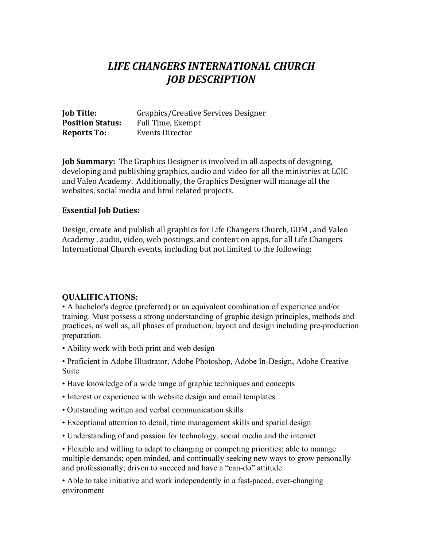# *LIFE CHANGERS INTERNATIONAL CHURCH JOB DESCRIPTION*

| <b>Job Title:</b>       | Graphics/Creative Services Designer |
|-------------------------|-------------------------------------|
| <b>Position Status:</b> | Full Time, Exempt                   |
| <b>Reports To:</b>      | Events Director                     |

**Job Summary:** The Graphics Designer is involved in all aspects of designing, developing and publishing graphics, audio and video for all the ministries at LCIC and Valeo Academy. Additionally, the Graphics Designer will manage all the websites, social media and html related projects.

#### **Essential Job Duties:**

Design, create and publish all graphics for Life Changers Church, GDM, and Valeo Academy, audio, video, web postings, and content on apps, for all Life Changers International Church events, including but not limited to the following:

#### **QUALIFICATIONS:**

• A bachelor's degree (preferred) or an equivalent combination of experience and/or training. Must possess a strong understanding of graphic design principles, methods and practices, as well as, all phases of production, layout and design including pre-production preparation.

• Ability work with both print and web design

• Proficient in Adobe Illustrator, Adobe Photoshop, Adobe In-Design, Adobe Creative Suite

- Have knowledge of a wide range of graphic techniques and concepts
- Interest or experience with website design and email templates
- Outstanding written and verbal communication skills
- Exceptional attention to detail, time management skills and spatial design
- Understanding of and passion for technology, social media and the internet

• Flexible and willing to adapt to changing or competing priorities; able to manage multiple demands; open minded, and continually seeking new ways to grow personally and professionally; driven to succeed and have a "can-do" attitude

• Able to take initiative and work independently in a fast-paced, ever-changing environment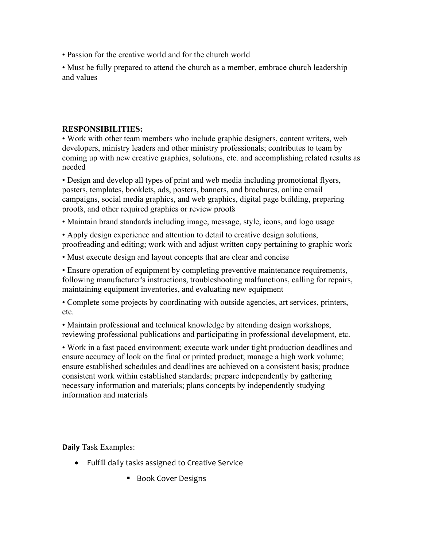• Passion for the creative world and for the church world

• Must be fully prepared to attend the church as a member, embrace church leadership and values

## **RESPONSIBILITIES:**

• Work with other team members who include graphic designers, content writers, web developers, ministry leaders and other ministry professionals; contributes to team by coming up with new creative graphics, solutions, etc. and accomplishing related results as needed

• Design and develop all types of print and web media including promotional flyers, posters, templates, booklets, ads, posters, banners, and brochures, online email campaigns, social media graphics, and web graphics, digital page building, preparing proofs, and other required graphics or review proofs

• Maintain brand standards including image, message, style, icons, and logo usage

• Apply design experience and attention to detail to creative design solutions, proofreading and editing; work with and adjust written copy pertaining to graphic work

• Must execute design and layout concepts that are clear and concise

• Ensure operation of equipment by completing preventive maintenance requirements, following manufacturer's instructions, troubleshooting malfunctions, calling for repairs, maintaining equipment inventories, and evaluating new equipment

• Complete some projects by coordinating with outside agencies, art services, printers, etc.

• Maintain professional and technical knowledge by attending design workshops, reviewing professional publications and participating in professional development, etc.

• Work in a fast paced environment; execute work under tight production deadlines and ensure accuracy of look on the final or printed product; manage a high work volume; ensure established schedules and deadlines are achieved on a consistent basis; produce consistent work within established standards; prepare independently by gathering necessary information and materials; plans concepts by independently studying information and materials

**Daily** Task Examples:

- Fulfill daily tasks assigned to Creative Service
	- Book Cover Designs